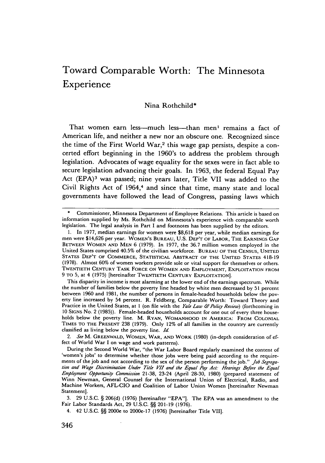# Toward Comparable Worth: The Minnesota Experience

#### Nina Rothchild\*

That women earn less---much less---than men<sup>1</sup> remains a fact of American life, and neither a new nor an obscure one. Recognized since the time of the First World War,<sup>2</sup> this wage gap persists, despite a concerted effort beginning in the 1960's to address the problem through legislation. Advocates of wage equality for the sexes were in fact able to secure legislation advancing their goals. In 1963, the federal Equal Pay Act (EPA)3 was passed; nine years later, Title VII was added to the Civil Rights Act of 1964,<sup>4</sup> and since that time, many state and local governments have followed the lead of Congress, passing laws which

*2. See* M. GREENWALD, WOMEN, **WAR, AND WORK** (1980) (in-depth consideration of effect **of** World War I on wage and work patterns).

3. 29 U.S.C. **§** 206(d) (1976) [hereinafter "EPA"]. The EPA was an amendment to the Fair Labor Standards Act, 29 U.S.C. **§§** 201-19 (1976).

Commissioner, Minnesota Department of Employee Relations. This article is based on information supplied by Ms. Rothchild on Minnesota's experience with comparable worth legislation. The legal analysis in Part I and footnotes has been supplied by the editors.

<sup>1.</sup> In 1977, median earnings for women were \$8,618 per year, while median earnings for men were \$14,626 per year. WOMEN'S **BUREAU, U.S. DEP'T** OF **LABOR, THE EARNINGS GAP BETWEEN WOMEN AND MEN 6 (1979).** In **1977,** the **36.7** million women employed in the United States comprised 40.5% of the civilian workforce. **BUREAU OF THE CENSUS, UNITED STATES DEP'T OF** COMMERCE, **STATISTICAL ABSTRACT OF THE UNITED STATES** 418-19 **(1978).** Almost **60%** of women workers provide sole or vital support for themselves or others. **TWENTIETH CENTURY TASK FORCE ON WOMEN AND EMPLOYMENT, EXPLOITATION FROM 9 TO 5,** at 4 **(1975)** [hereinafter TWENTIETH **CENTURY EXPLOITATION].**

This disparity in income is most alarming at the lower end of the earnings spectrum. While the number of families below the poverty line headed **by** white men decreased **by 51** percent between **1960** and **1981,** the number **of** persons in female-headed households below the poverty line increased **by** 54 percent. R. Feldberg, Comparable Worth: Toward Theory and Practice in the United States, at **I** (on file with the *Yale Law & Polcy Review)* (forthcoming in 10 SIGNS No. 2 (1985)). Female-headed households account for one out of every three households below the poverty line. M. **RYAN,** WOMANHOOD **IN** AMERICA: FROM **COLONIAL TIMES TO THE PRESENT 238 (1979).** Only 12% of all families in the country are currently classified as living below the poverty line. *Id*

During the Second World War, "the War Labor Board regularly examined the content of 'women's jobs' to determine whether those jobs were being paid according to the requirements of the **job** and not according to the sex of the person performing the **job."** *Job Segregaton and Wage Discrmnation Under Title VII and* the *Equal Pay Act." Hearings Before the Equal Employment Opportum'ty Commission* 21-38, 23-24 (April 28-30, 1980) (prepared statement of Winn Newman, General Counsel for the International Union of Electrical, Radio, and Machine Workers, AFL-CIO and Coalition of Labor Union Women [hereinafter Newman Statement].

<sup>4. 42</sup> U.S.C. **§§** 2000e to 2000e-17 (1976) [hereinafter Title VIII.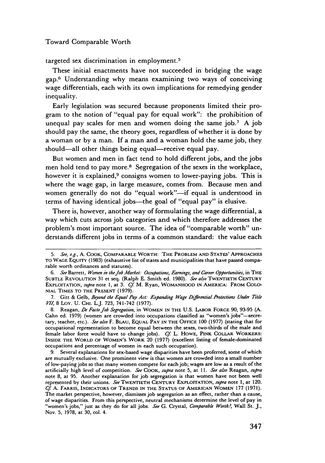targeted sex discrimination in employment. <sup>5</sup>

These initial enactments have not succeeded in bridging the wage gap.6 Understanding why means examining two ways of conceiving wage differentials, each with its own implications for remedying gender inequality.

Early legislation was secured because proponents limited their program to the notion of "equal pay for equal work": the prohibition of unequal pay scales for men and women doing the same  $job.^7$ . A job should pay the same, the theory goes, regardless of whether it is done by a woman or by a man. If a man and a woman hold the same job, they should—all other things being equal—receive equal pay.

But women and men in fact tend to hold different jobs, and the jobs men hold tend to pay more.<sup>8</sup> Segregation of the sexes in the workplace, however it is explained,<sup>9</sup> consigns women to lower-paying jobs. This is where the wage gap, in large measure, comes from. Because men and women generally do not do "equal work"-if equal is understood in terms of having identical jobs-the goal of "equal pay" is elusive.

There is, however, another way of formulating the wage differential, a way which cuts across job categories and which therefore addresses the problem's most important source. The idea of "comparable worth" understands different jobs in terms of a common standard: the value each

*<sup>5.</sup> See,* e.g., **A.** COOK, COMPARABLE WORTH: **THE PROBLEM AND STATES' APPROACHES** TO **WAGE** EQUITY (1983) (exhaustive list of states and municipalities that have passed comparable worth ordinances and statutes).

*<sup>6.</sup> See* Barrett, *Women in the Job Market.- Occupations, Earnings, and Career Opportunities,* in THE SUBTLE **REVOLUTION** 31 et seq. (Ralph E. Smith ed. 1980). *See also* TWENTIETH **CENTURY** EXPLOITATION, *supra* note 1, at 3. *Cf* M. Ryan, WOMANHOOD IN AMERICA: FROM COLO-NIAL TIMES TO THE PRESENT (1979).

<sup>7.</sup> Gitt & Gelb, *Beyond the Equal Pay Act: Expanding Wage Differential Protections Under Title VII,* 8 Loy. **U.** CHI. L.J. 723, 741-742 (1977).

<sup>8.</sup> Reagan, *De Facto Job Segregation,* in WOMEN **IN** THE **U.S.** LABOR FORCE 90, 93-95 (A. Cahn ed. 1979) (women are crowded into occupations classified as "women's jobs"--secretary, teacher, etc.). *See also* F. BLAU, **EQUAL PAY IN** THE OFFICE **100** (1977) (stating that for occupational representation to become equal between the sexes, two-thirds of the male and female labor force would have to change jobs). *Cf* L. HOWE, PINK COLLAR WORKERS: INSIDE THE WORLD **OF WOMEN'S** WORK 20 (1977) (excellent listing of female-dominated occupations and percentage of women in each such occupation).

<sup>9.</sup> Several explanations for sex-based wage disparities have been proferred, some of which are mutually exclusive. One prominent view is that women are crowded into a small number of low-paying jobs so that many women compete for each job; wages are low as a result of the artificially high level of competition. *See* COOK, *supra* note **5,** at 11. See *also* Reagan, *supra* note 8, at 95. Another explanation for job segregation is that women have not been well represented by their unions. See TWENTIETH **CENTURY** EXPLOITATION, *supra* note **1,** at 120. *Cf* A. FARRIS, **INDICATORS OF TRENDS IN** THE **STATUS** OF AMERICAN WOMEN 177 (1971). The market perspective, however, dismisses job segregation as an effect, rather than a cause, of wage disparities. From this perspective, neutral mechanisms determine the level of pay in "women's jobs," just as they do for all jobs. See G. Crystal, *Comparable Worth*.<sup>2</sup>, Wall St. J., Nov. 5, 1978, at 30, col. 4.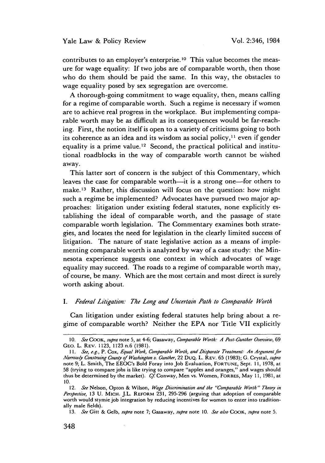contributes to an employer's enterprise.<sup>10</sup> This value becomes the measure for wage equality: If two jobs are of comparable worth, then those who do them should be paid the same. In this way, the obstacles to wage equality posed by sex segregation are overcome.

A thorough-going commitment to wage equality, then, means calling for a regime of comparable worth. Such a regime is necessary if women are to achieve real progress in the workplace. But implementing comparable worth may be as difficult as its consequences would be far-reaching. First, the notion itself is open to a variety of criticisms going to both its coherence as an idea and its wisdom as social policy,<sup>11</sup> even if gender equality is a prime value.<sup>12</sup> Second, the practical political and institutional roadblocks in the way of comparable worth cannot be wished away.

This latter sort of concern is the subject of this Commentary, which leaves the case for comparable worth-it is a strong one-for others to make.<sup>13</sup> Rather, this discussion will focus on the question: how might such a regime be implemented? Advocates have pursued two major approaches: litigation under existing federal statutes, none explicitly establishing the ideal of comparable worth, and the passage of state comparable worth legislation. The Commentary examines both strategies, and locates the need for legislation in the clearly limited success of litigation. The nature of state legislative action as a means of implementing comparable worth is analyzed by way of a case study: the Minnesota experience suggests one context in which advocates of wage equality may succeed. The roads to a regime of comparable worth may, of course, be many. Which are the most certain and most direct is surely worth asking about.

## *I. Federal Litgation." The Long and Uncertain Path to Comparable Worth*

Can litigation under existing federal statutes help bring about a regime of comparable worth? Neither the EPA nor Title VII explicitly

<sup>10.</sup> *See* COOK, *supra* note 5, at 4-6; Gasaway, *Comparable Worth: A Post-Gunther Overview, 69* GEO. L. REV. 1123, 1123 n.6 (1981).

*<sup>11.</sup> See, e.g.,* P. Cox, *Equal Work, Comparable Worth, and Disparate Treatment.- An Argument for Narrowly Construing County of Washington* v. Gunther, 22 DuQ. L. REv. 65 (1983); G. Crystal, *supra* note 9; L. Smith, The EEOC's Bold Foray into Job Evaluation, **FORTUNE,** Sept. 11, 1978, at 58 (trying to compare jobs is like trying to compare "apples and oranges," and wages should thus be determined by the market). Cf Conway, Men vs. Women, FORBES, May 11, 1981, at 10.

*<sup>12.</sup> See* Nelson, Opton & Wilson, *Wage Dticrimination and the* "Comparable *Worth"* Theoy *in Perspective,* 13 U. MICH. J.L. REFORM 231, 295-296 (arguing that adoption of comparable worth would stymie job integration by reducing incentives for women to enter into traditionally male fields).

<sup>13.</sup> *See* Gitt & Gelb, *supra* note 7; Gasaway, *supra* note 10. *See also* COOK, *supra* note 5.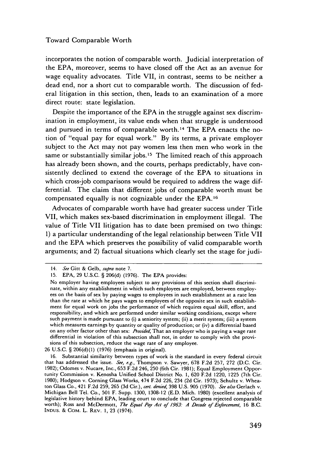incorporates the notion of comparable worth. Judicial interpretation of the EPA, moreover, seems to have closed off the Act as an avenue for wage equality advocates. Title VII, in contrast, seems to be neither a dead end, nor a short cut to comparable worth. The discussion of federal litigation in this section, then, leads to an examination of a more direct route: state legislation.

Despite the importance of the EPA in the struggle against sex discrimination in employment, its value ends when that struggle is understood and pursued in terms of comparable worth. 14 The EPA enacts the notion of "equal pay for equal work." By its terms, a private employer subject to the Act may not pay women less then men who work in the same or substantially similar jobs.<sup>15</sup> The limited reach of this approach has already been shown, and the courts, perhaps predictably, have consistently declined to extend the coverage of the EPA to situations in which cross-job comparisons would be required to address the wage differential. The claim that different jobs of comparable worth must be compensated equally is not cognizable under the EPA.<sup>16</sup>

Advocates of comparable worth have had greater success under Title VII, which makes sex-based discrimination in employment illegal. The value of Title VII litigation has to date been premised on two things: 1) a particular understanding of the legal relationship between Title VII and the EPA which preserves the possibility of valid comparable worth arguments; and 2) factual situations which clearly set the stage for judi-

26 U.S.C. § 206(d)(1) (1976) (emphasis in original).

<sup>14.</sup> *See* Gitt & Gelb, *supra* note 7.

<sup>15.</sup> EPA, 29 U.S.C. § 206(d) (1976). The EPA provides:

No employer having employees subject to any provisions of this section shall discriminate, within any establishment in which such employees are employed, between employees on the basis of sex by paying wages to employees in such establishment at a rate less than the rate at which he pays wages to employees of the opposite sex in such establishment for equal work on jobs the performance of which requires equal skill, effort, and responsibility, and which are performed under similar working conditions, except where such payment is made pursuant to (i) a seniority system; (ii) a merit system; (iii) a system which measures earnings by quantity or quality of production; or (iv) a differential based on any other factor other than sex: *Arovided,* That an employer who is paying a wage rate differential in violation of this subsection shall not, in order to comply with the provisions of this subsection, reduce the wage rate of any employee.

<sup>16.</sup> Substantial similarity between types of work is the standard in every federal circuit that has addressed the issue. *See, e.g.,* Thompson v. Sawyer, 678 F.2d 257, 272 (D.C. Cir. 1982); Odomes v. Nucare, Inc., 653 F.2d 246, 250 (6th Cir. 1981); Equal Employment Opportunity Commission v. Kenosha Unified School District No. 1, 620 F.2d 1220, 1225 (7th Cir. 1980); Hodgson v. Corning Glass Works, 474 F.2d 226, 234 (2d Cir. 1973); Schultz v. Wheaton Glass Co., 421 F.2d 259, 265 (3d Cir.), *cert. denied,* 398 U.S. 905 (1970). *See also* Gerlach v. Michigan Bell Tel. Co., 501 F. Supp. 1300, 1308-12 (E.D. Mich. 1980) (excellent analysis of legislative history behind EPA, leading court to conclude that Congress rejected comparable worth); Ross and McDermott, *The Equal Pay Act of 1963.* **A** Decade *of Enforcement,* 16 B.C. INDUS. & COM. L. REV. 1, 23 (1974).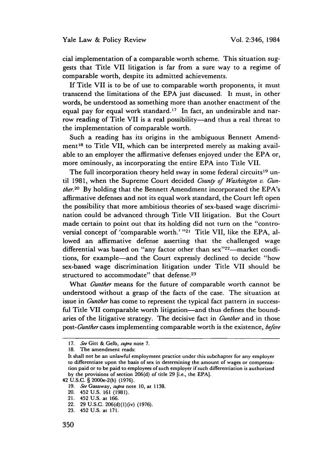cial implementation of a comparable worth scheme. This situation suggests that Title VII litigation is far from a sure way to a regime of comparable worth, despite its admitted achievements.

If Title VII is to be of use to comparable worth proponents, it must transcend the limitations of the EPA just discussed. It must, in other words, be understood as something more than another enactment of the equal pay for equal work standard.<sup>17</sup> In fact, an undesirable and narrow reading of Title VII is a real possibility-and thus a real threat to the implementation of comparable worth.

Such a reading has its origins in the ambiguous Bennett Amendment 18 to Title VII, which can be interpreted merely as making available to an employer the affirmative defenses enjoyed under the EPA or, more ominously, as incorporating the entire EPA into Title VII.

The full incorporation theory held sway in some federal circuits<sup>19</sup> until 1981, when the Supreme Court decided *County of Washington v. Gunther.20* By holding that the Bennett Amendment incorporated the EPA's affirmative defenses and not its equal work standard, the Court left open the possibility that more ambitious theories of sex-based wage discrimination could be advanced through Title VII litigation. But the Court made certain to point out that its holding did not turn on the "controversial concept of 'comparable worth.' **"21** Title VII, like the EPA, allowed an affirmative defense asserting that the challenged wage differential was based on "any factor other than sex"<sup>22</sup>-market conditions, for example-and the Court expressly declined to decide "how sex-based wage discrimination litigation under Title VII should be structured to accommodate" that defense.<sup>23</sup>

What *Gunther* means for the future of comparable worth cannot be understood without a grasp of the facts of the case. The situation at issue in *Gunther* has come to represent the typical fact pattern in successful Title VII comparable worth litigation-and thus defines the boundaries of the litigative strategy. The decisive fact in *Gunther* and in those *post-Gunther* cases implementing comparable worth is the existence, *before*

*<sup>17.</sup>* See Gitt & Gelb, *supra* note 7.

<sup>18.</sup> The amendment reads:

It shall not be an unlawful employment practice under this subchapter for any employer to differentiate upon the basis of sex in determining the amount of wages or compensation paid or to be paid to employees of such employer if such differentiation is authorized by the provisions of section 206(d) of title 29 [i.e., the EPA].

<sup>42</sup> U.S.C. § 2000e-2(h) (1976).

<sup>19.</sup> See Gasaway, supra note 10, at 1138.

<sup>20. 452</sup> U.S. 161 (1981).

<sup>21. 452</sup> U.S. at 166.

<sup>22. 29</sup> U.S.C. 206(d)(1)(iv) (1976).

<sup>23. 452</sup> U.S. at 171.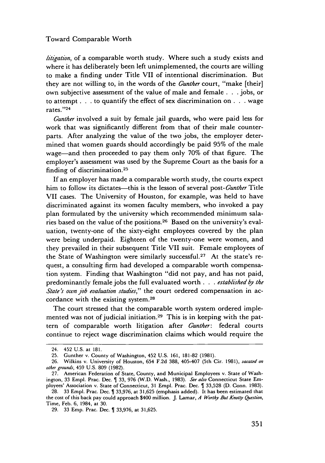*h'tgation,* of a comparable worth study. Where such a study exists and where it has deliberately been left unimplemented, the courts are willing to make a finding under Title VII of intentional discrimination. But they are not willing to, in the words of the *Gunther* court, "make [their] own subjective assessment of the value of male and female . . . jobs, or to attempt **. . .** to quantify the effect of sex discrimination on **. .** . wage rates. "24

*Gunther* involved a suit by female jail guards, who were paid less for work that was significantly different from that of their male counterparts. After analyzing the value of the two jobs, the employer determined that women guards should accordingly be paid 95% of the male wage-and then proceeded to pay them only 70% of that figure. The employer's assessment was used by the Supreme Court as the basis for a finding of discrimination. <sup>25</sup>

If an employer has made a comparable worth study, the courts expect him to follow its dictates-this is the lesson of several *post-Gunther* Title VII cases. The University of Houston, for example, was held to have discriminated against its women faculty members, who invoked a pay plan formulated by the university which recommended minimum salaries based on the value of the positions.<sup>26</sup> Based on the university's evaluation, twenty-one of the sixty-eight employees covered by the plan were being underpaid. Eighteen of the twenty-one were women, and they prevailed in their subsequent Title VII suit. Female employees of the State of Washington were similarly successful. 27 At the state's request, a consulting firm had developed a comparable worth compensation system. Finding that Washington "did not pay, and has not paid, predominantly female jobs the full evaluated worth . . . *estabh'shed by the State's own job evaluation studies,"* the court ordered compensation in accordance with the existing system.<sup>28</sup>

The court stressed that the comparable worth system ordered implemented was not of judicial initiation.<sup>29</sup> This is in keeping with the pattern of comparable worth litigation after *Gunther:* federal courts continue to reject wage discrimination claims which would require the

<sup>24. 452</sup> U.S. at 181.

<sup>25.</sup> Gunther v. County of Washington, 452 U.S. 161, 181-82 (1981).

<sup>26.</sup> Wilkins v. University of Houston, 654 F.2d 388, 405-407 (5th Cir. 1981), *vacated on other* grounds, 459 U.S. 809 (1982).

<sup>27.</sup> American Federation of State, County, and Municipal Employees v. State of Washington, 33 Empl. Prac. Dec. 1 33, 976 (W.D. Wash., 1983). See also Connecticut State Employees' Association v. State of Connecticut, 31 Empl. Prac. Dec.  $\int$  33,528 (D. Conn. 1983).

<sup>28. 33</sup> Empl. Prac. Dec. 1 33,976, at 31,625 (emphasis added). It has been estimated that the cost of this back pay could approach \$400 million. J. Lamar, A Worthy But *Knotty Question,* Time, Feb. 6, 1984, at 30.

<sup>29. 33</sup> Emp. Prac. Dec. 1 33,976, at 31,625.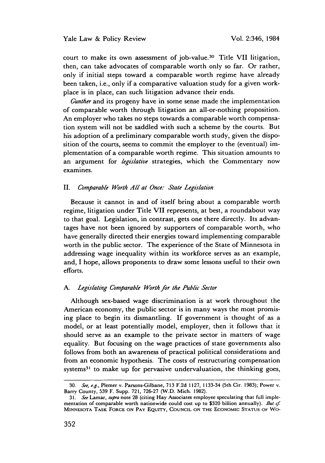court to make its own assessment of job-value.<sup>30</sup> Title VII litigation, then, can take advocates of comparable worth only so far. Or rather, only if initial steps toward a comparable worth regime have already been taken, i.e., only if a comparative valuation study for a given workplace is in place, can such litigation advance their ends.

*Gunther* and its progeny have in some sense made the implementation of comparable worth through litigation an all-or-nothing proposition. An employer who takes no steps towards a comparable worth compensation system will not be saddled with such a scheme by the courts. But his adoption of a preliminary comparable worth study, given the disposition of the courts, seems to commit the employer to the (eventual) implementation of a comparable worth regime. This situation amounts to an argument for *legislative* strategies, which the Commentary now examines.

# II. *Comparable Worth All at Once.: State Legislation*

Because it cannot in and of itself bring about a comparable worth regime, litigation under Title VII represents, at best, a roundabout way to that goal. Legislation, in contrast, gets one there directly. Its advantages have not been ignored by supporters of comparable worth, who have generally directed their energies toward implementing comparable worth in the public sector. The experience of the State of Minnesota in addressing wage inequality within its workforce serves as an example, and, I hope, allows proponents to draw some lessons useful to their own efforts.

#### *A. Legislating Comparable Worth for the Pubhc Sector*

Although sex-based wage discrimination is at work throughout the American economy, the public sector is in many ways the most promising place to begin its dismantling. If government is thought of as a model, or at least potentially model, employer, then it follows that it should serve as an example to the private sector in matters of wage equality. But focusing on the wage practices of state governments also follows from both an awareness of practical political considerations and from an economic hypothesis. The costs of restructuring compensation systems $31$  to make up for pervasive undervaluation, the thinking goes,

<sup>30.</sup> See, e.g., Plemer v. Parsons-Gilbane, 713 F.2d 1127, 1133-34 (5th Cir. 1983); Power v. Barry County, 539 F. Supp. 721, 726-27 (W.D. Mich. 1982).

<sup>31.</sup> See Lamar, supra note 28 (citing Hay Associates employee speculating that full implementation of comparable worth nationwide could cost up to \$320 billion annually). But  $cf.$ **MINNESOTA** TASK FORCE **ON** PAY EQUITY, COUNCIL ON THE ECONOMIC STATUS OF WO-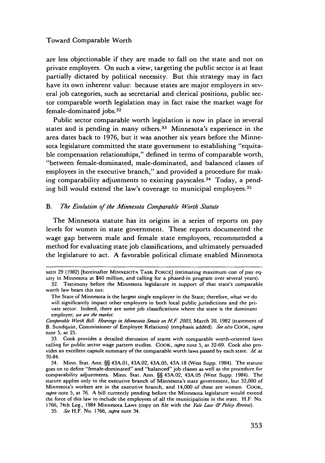are less objectionable if they are made to fall on the state and not on private employers. On such a view, targeting the public sector is at least partially dictated by political necessity. But this strategy may in fact have its own inherent value: because states are major employers in several job categories, such as secretarial and clerical positions, public sector comparable worth legislation may in fact raise the market wage for female-dominated jobs. <sup>32</sup>

Public sector comparable worth legislation is now in place in several states and is pending in many others.<sup>33</sup> Minnesota's experience in the area dates back to 1976, but it was another six years before the Minnesota legislature committed the state government to establishing "equitable compensation relationships," defined in terms of comparable worth, "between female-dominated, male-dominated, and balanced classes of employees in the executive branch," and provided a procedure for making comparability adjustments to existing payscales. 34 Today, a pending bill would extend the law's coverage to municipal employees.<sup>35</sup>

## *B. The Evolution of the Mnesota Comparable Worth Statute*

The Minnesota statute has its origins in a series of reports on pay levels for women in state government. These reports documented the wage gap between male and female state employees, recommended a method for evaluating state job classifications, and ultimately persuaded the legislature to act. A favorable political climate enabled Minnesota

**MEN** 29 (1982) [hereinafter MINNESOTA TASK FORCE] (estimating maximum cost of pay equity in Minnesota at \$40 million, and calling for a phased-in program over several years).

<sup>32.</sup> Testimony before the Minnesota legislature in support of that state's comparable worth law bears this out:

The State of Minnesota is the largest single employer in the State; therefore, what we do will significantly impact other employers in both local public jurisdictions and the private sector. Indeed, there are some job classifications where the state is the dominant employer; we are the market.

Comparable Worth Bill: Hearings in Minnesota Senate on H.F. 2005, March 20, 1982 (statement of B. Sundquist, Commissioner of Employee Relations) (emphasis added). See also COOK, supra note 5, at 25.

<sup>33.</sup> Cook provides a detailed discussion of states with comparable worth-oriented laws calling for public sector wage pattern studies. COOK, supra note 5, at 32-69. Cook also provides an excellent capsule summary of the comparable worth laws passed by each state. Id. at 70-84.

<sup>34.</sup> Minn. Stat. Ann. §§ 43A.01, 43A.02, 43A.05, 43A. 18 (West Supp. 1984). The statute goes on to define "female-dominated" and "balanced" job classes as well as the procedure for comparability adjustments. Minn. Stat. Ann. §§ 43A.02, 43A.05 (West Supp. 1984). The statute applies only to the executive branch of Minnesota's state government, but 32,000 of Minnesota's workers are in the executive branch, and 14,000 of these are women. COOK, supra note 5, at 76. A bill currently pending before the Minnesota legislature would extend the force of this law to include the employees of all the municipalities in the state. H.F. No. 1766, 74th Leg., 1984 Minnesota Laws (copy on file with the Yale Law *&Pohy Review).*

<sup>35.</sup> See H.F. No. 1766, supra note 34.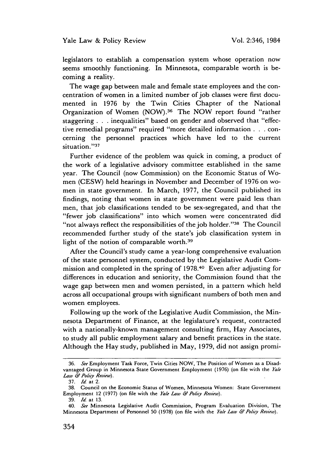legislators to establish a compensation system whose operation now seems smoothly functioning. In Minnesota, comparable worth is becoming a reality.

The wage gap between male and female state employees and the concentration of women in a limited number of job classes were first documented in 1976 by the Twin Cities Chapter of the National Organization of Women (NOW). 36 The NOW report found "rather staggering **. . .** inequalities" based on gender and observed that "effective remedial programs" required "more detailed information **. . .** concerning the personnel practices which have led to the current situation."37

Further evidence of the problem was quick in coming, a product of the work of a legislative advisory committee established in the same year. The Council (now Commission) on the Economic Status of Women (CESW) held hearings in November and December of 1976 on women in state government. In March, 1977, the Council published its findings, noting that women in state government were paid less than men, that job classifications tended to be sex-segregated, and that the "fewer job classifications" into which women were concentrated did "not always reflect the responsibilities of the job holder."<sup>38</sup> The Council recommended further study of the state's job classification system in light of the notion of comparable worth.<sup>39</sup>

After the Council's study came a year-long comprehensive evaluation of the state personnel system, conducted by the Legislative Audit Commission and completed in the spring of 1978.40 Even after adjusting for differences in education and seniority, the Commission found that the wage gap between men and women persisted, in a pattern which held across all occupational groups with significant numbers of both men and women employees.

Following up the work of the Legislative Audit Commission, the Minnesota Department of Finance, at the legislature's request, contracted with a nationally-known management consulting firm, Hay Associates, to study all public employment salary and benefit practices in the state. Although the Hay study, published in May, 1979, did not assign promi-

<sup>36.</sup> *See* Employment Task Force, Twin Cities NOW, The Position of Women as a Disadvantaged Group in Minnesota State Government Employment (1976) (on file with the *Yale Law & Polity Review).*

<sup>37.</sup> *Id* at 2.

<sup>38.</sup> Council on the Economic Status of Women, Minnesota Women: State Government Employment 12 (1977) (on file with the *Yale Law & Policy Review*).

<sup>39.</sup> *Id.* at 13.

<sup>40.</sup> *See* Minnesota Legislative Audit Commission, Program Evaluation Division, The Minnesota Department of Personnel 50 (1978) (on file with the *Yale Law & Pohcy Review).*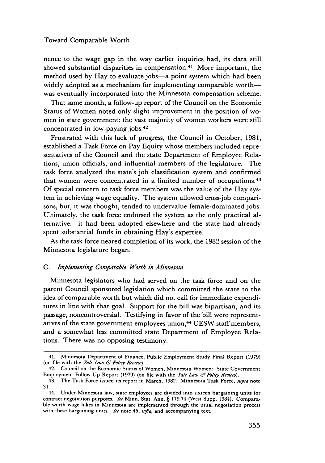nence to the wage gap in the way earlier inquiries had, its data still showed substantial disparities in compensation.<sup>41</sup> More important, the method used by Hay to evaluate jobs-a point system which had been widely adopted as a mechanism for implementing comparable worthwas eventually incorporated into the Minnesota compensation scheme.

That same month, a follow-up report of the Council on the Economic Status of Women noted only slight improvement in the position of women in state government: the vast majority of women workers were still concentrated in low-paying jobs.42

Frustrated with this lack of progress, the Council in October, 1981, established a Task Force on Pay Equity whose members included representatives of the Council and the state Department of Employee Relations, union officials, and influential members of the legislature. The task force analyzed the state's job classification system and confirmed that women were concentrated in a limited number of occupations.<sup>43</sup> Of special concern to task force members was the value of the Hay system in achieving wage equality. The system allowed cross-job comparisons, but, it was thought, tended to undervalue female-dominated jobs. Ultimately, the task force endorsed the system as the only practical alternative: it had been adopted elsewhere and the state had already spent substantial funds in obtaining Hay's expertise.

As the task force neared completion of its work, the 1982 session of the Minnesota legislature began.

#### *C. Implementing Comparable Worth in Minnesota*

Minnesota legislators who had served on the task force and on the parent Council sponsored legislation which committed the state to the idea of comparable worth but which did not call for immediate expenditures in line with that goal. Support for the bill was bipartisan, and its passage, noncontroversial. Testifying in favor of the bill were representatives of the state government employees union,<sup>44</sup> CESW staff members, and a somewhat less committed state Department of Employee Relations. There was no opposing testimony.

<sup>41.</sup> Minnesota Department of Finance, Public Employment Study Final Report (1979) (on file with the *Yale Law & Policy Review).*

<sup>42.</sup> Council on the Economic Status of Women, Minnesota Women: State Government Employment Follow-Up Report (1979) (on file with the *Yale Law & Policy Review).*

<sup>43.</sup> The Task Force issued its report in March, 1982. Minnesota Task Force, *supra* note 31.

<sup>44.</sup> Under Minnesota law, state employees are divided into sixteen bargaining units for contract negotiation purposes. *See* Minn. Stat. Ann. § 179.74 (West Supp. 1984). Comparable worth wage hikes in Minnesota are implemented through the usual negotiation process with these bargaining units. *See* note 45, *infra,* and accompanying text.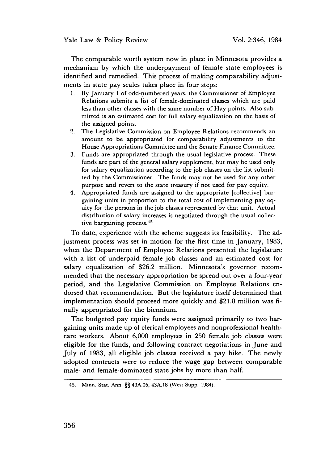The comparable worth system now in place in Minnesota provides a mechanism by which the underpayment of female state employees is identified and remedied. This process of making comparability adjustments in state pay scales takes place in four steps:

- 1. By January 1 of odd-numbered years, the Commissioner of Employee Relations submits a list of female-dominated classes which are paid less than other classes with the same number of Hay points. Also submitted is an estimated cost for full salary equalization on the basis of the assigned points.
- 2. The Legislative Commission on Employee Relations recommends an amount to be appropriated for comparability adjustments to the House Appropriations Committee and the Senate Finance Committee.
- 3. Funds are appropriated through the usual legislative process. These funds are part of the general salary supplement, but may be used only for salary equalization according to the job classes on the list submitted by the Commissioner. The funds may not be used for any other purpose and revert to the state treasury if not used for pay equity.
- 4. Appropriated funds are assigned to the appropriate [collective] bargaining units in proportion to the total cost of implementing pay equity for the persons in the job classes represented by that unit. Actual distribution of salary increases is negotiated through the usual collecdistribution of datal *f* more tive bargaining process.<sup>45</sup>

To date, experience with the scheme suggests its feasibility. The adjustment process was set in motion for the first time in January, 1983, when the Department of Employee Relations presented the legislature with a list of underpaid female job classes and an estimated cost for salary equalization of \$26.2 million. Minnesota's governor recommended that the necessary appropriation be spread out over a four-year period, and the Legislative Commission on Employee Relations endorsed that recommendation. But the legislature itself determined that implementation should proceed more quickly and \$21.8 million was finally appropriated for the biennium.

The budgeted pay equity funds were assigned primarily to two bargaining units made up of clerical employees and nonprofessional healthcare workers. About 6,000 employees in 250 female job classes were eligible for the funds, and following contract negotiations in June and July of 1983, all eligible job classes received a pay hike. The newly adopted contracts were to reduce the wage gap between comparable male- and female-dominated state jobs by more than half.

<sup>45.</sup> Minn. Stat. Ann. §§ 43A.05, 43A.18 (West Supp. 1984).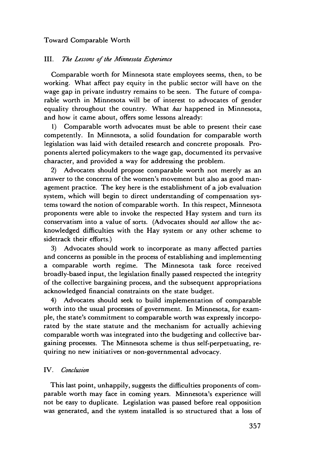# III. *The Lessons of the Afhnnesota Experience*

Comparable worth for Minnesota state employees seems, then, to be working. What affect pay equity in the public sector will have on the wage gap in private industry remains to be seen. The future of comparable worth in Minnesota will be of interest to advocates of gender equality throughout the country. What *has* happened in Minnesota, and how it came about, offers some lessons already:

1) Comparable worth advocates must be able to present their case competently. In Minnesota, a solid foundation for comparable worth legislation was laid with detailed research and concrete proposals. Proponents alerted policymakers to the wage gap, documented its pervasive character, and provided a way for addressing the problem.

2) Advocates should propose comparable worth not merely as an answer to the concerns of the women's movement but also as good management practice. The key here is the establishment of a job evaluation system, which will begin to direct understanding of compensation systems toward the notion of comparable worth. In this respect, Minnesota proponents were able to invoke the respected Hay system and turn its conservatism into a value of sorts. (Advocates should *not* allow the acknowledged difficulties with the Hay system or any other scheme to sidetrack their efforts.)

3) Advocates should work to incorporate as many affected parties and concerns as possible in the process of establishing and implementing a comparable worth regime. The Minnesota task force received broadly-based input, the legislation finally passed respected the integrity of the collective bargaining process, and the subsequent appropriations acknowledged financial constraints on the state budget.

4) Advocates should seek to build implementation of comparable worth into the usual processes of government. In Minnesota, for example, the state's commitment to comparable worth was expressly incorporated by the state statute and the mechanism for actually achieving comparable worth was integrated into the budgeting and collective bargaining processes. The Minnesota scheme is thus self-perpetuating, requiring no new initiatives or non-governmental advocacy.

# IV. *Conclust'on*

This last point, unhappily, suggests the difficulties proponents of comparable worth may face in coming years. Minnesota's experience will not be easy to duplicate. Legislation was passed before real opposition was generated, and the system installed is so structured that a loss of